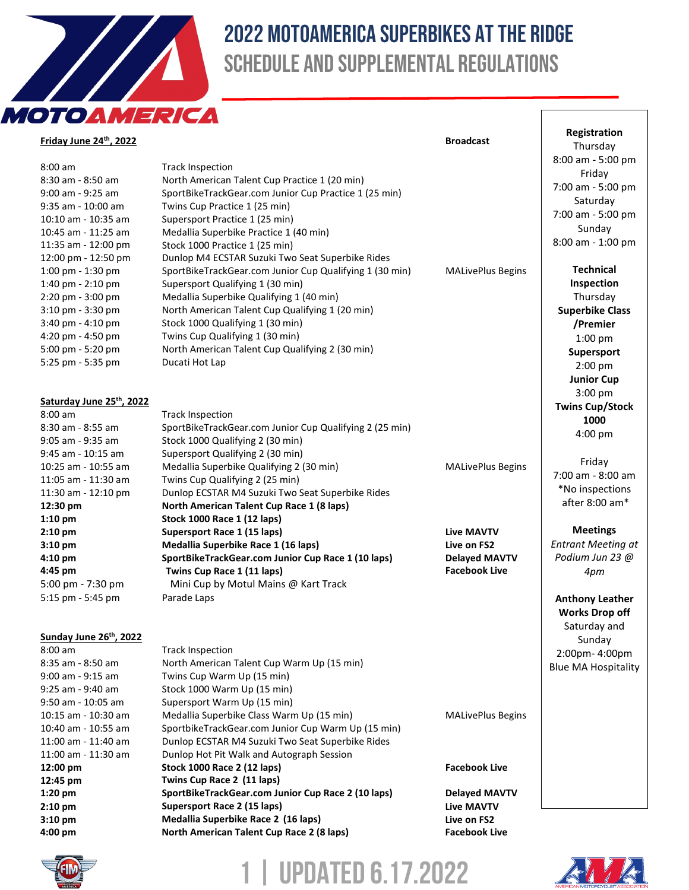

## 2022 Motoamerica Superbikes at the ridge Schedule and Supplemental Regulations

| OTOAMERICA               |                                                                                 |                          |                            |
|--------------------------|---------------------------------------------------------------------------------|--------------------------|----------------------------|
| Friday June 24th, 2022   |                                                                                 | <b>Broadcast</b>         | Registration<br>Thursday   |
|                          |                                                                                 |                          | 8:00 am - 5:00 pm          |
| $8:00$ am                | <b>Track Inspection</b>                                                         |                          | Friday                     |
| 8:30 am - 8:50 am        | North American Talent Cup Practice 1 (20 min)                                   |                          | 7:00 am - 5:00 pm          |
| 9:00 am - 9:25 am        | SportBikeTrackGear.com Junior Cup Practice 1 (25 min)                           |                          | Saturday                   |
| 9:35 am - 10:00 am       | Twins Cup Practice 1 (25 min)                                                   |                          | 7:00 am - 5:00 pm          |
| 10:10 am - 10:35 am      | Supersport Practice 1 (25 min)                                                  |                          | Sunday                     |
| 10:45 am - 11:25 am      | Medallia Superbike Practice 1 (40 min)                                          |                          | 8:00 am - 1:00 pm          |
| 11:35 am - 12:00 pm      | Stock 1000 Practice 1 (25 min)                                                  |                          |                            |
| 12:00 pm - 12:50 pm      | Dunlop M4 ECSTAR Suzuki Two Seat Superbike Rides                                |                          |                            |
| 1:00 pm - 1:30 pm        | SportBikeTrackGear.com Junior Cup Qualifying 1 (30 min)                         | <b>MALivePlus Begins</b> | <b>Technical</b>           |
| 1:40 pm - 2:10 pm        | Supersport Qualifying 1 (30 min)                                                |                          | Inspection                 |
| 2:20 pm - 3:00 pm        | Medallia Superbike Qualifying 1 (40 min)                                        |                          | Thursday                   |
| 3:10 pm - 3:30 pm        | North American Talent Cup Qualifying 1 (20 min)                                 |                          | <b>Superbike Class</b>     |
| 3:40 pm - 4:10 pm        | Stock 1000 Qualifying 1 (30 min)                                                |                          | /Premier                   |
| 4:20 pm - 4:50 pm        | Twins Cup Qualifying 1 (30 min)                                                 |                          | $1:00$ pm                  |
| 5:00 pm - 5:20 pm        | North American Talent Cup Qualifying 2 (30 min)                                 |                          | Supersport                 |
| 5:25 pm - 5:35 pm        | Ducati Hot Lap                                                                  |                          | 2:00 pm                    |
|                          |                                                                                 |                          | <b>Junior Cup</b>          |
|                          |                                                                                 |                          | 3:00 pm                    |
| Saturday June 25th, 2022 |                                                                                 |                          | <b>Twins Cup/Stock</b>     |
| $8:00$ am                | <b>Track Inspection</b>                                                         |                          | 1000                       |
| 8:30 am - 8:55 am        | SportBikeTrackGear.com Junior Cup Qualifying 2 (25 min)                         |                          | $4:00$ pm                  |
| 9:05 am - 9:35 am        | Stock 1000 Qualifying 2 (30 min)                                                |                          |                            |
| 9:45 am - 10:15 am       | Supersport Qualifying 2 (30 min)                                                |                          | Friday                     |
| 10:25 am - 10:55 am      | Medallia Superbike Qualifying 2 (30 min)                                        | <b>MALivePlus Begins</b> | 7:00 am - 8:00 am          |
| 11:05 am - 11:30 am      | Twins Cup Qualifying 2 (25 min)                                                 |                          | *No inspections            |
| 11:30 am - 12:10 pm      | Dunlop ECSTAR M4 Suzuki Two Seat Superbike Rides                                |                          | after 8:00 am*             |
| 12:30 pm<br>$1:10$ pm    | North American Talent Cup Race 1 (8 laps)<br><b>Stock 1000 Race 1 (12 laps)</b> |                          |                            |
| $2:10$ pm                | Supersport Race 1 (15 laps)                                                     | <b>Live MAVTV</b>        | <b>Meetings</b>            |
| $3:10$ pm                | Medallia Superbike Race 1 (16 laps)                                             | Live on FS2              | <b>Entrant Meeting at</b>  |
| $4:10$ pm                | SportBikeTrackGear.com Junior Cup Race 1 (10 laps)                              | <b>Delayed MAVTV</b>     | Podium Jun 23 @            |
| 4:45 pm                  | Twins Cup Race 1 (11 laps)                                                      | <b>Facebook Live</b>     | 4pm                        |
| 5:00 pm - 7:30 pm        | Mini Cup by Motul Mains @ Kart Track                                            |                          |                            |
| 5:15 pm - 5:45 pm        | Parade Laps                                                                     |                          |                            |
|                          |                                                                                 |                          | <b>Anthony Leather</b>     |
|                          |                                                                                 |                          | <b>Works Drop off</b>      |
| Sunday June 26th, 2022   |                                                                                 |                          | Saturday and               |
| $8:00$ am                | <b>Track Inspection</b>                                                         |                          | Sunday                     |
| 8:35 am - 8:50 am        | North American Talent Cup Warm Up (15 min)                                      |                          | 2:00pm-4:00pm              |
| 9:00 am - 9:15 am        | Twins Cup Warm Up (15 min)                                                      |                          | <b>Blue MA Hospitality</b> |
| 9:25 am - 9:40 am        | Stock 1000 Warm Up (15 min)                                                     |                          |                            |
| 9:50 am - 10:05 am       | Supersport Warm Up (15 min)                                                     |                          |                            |
| 10:15 am - 10:30 am      | Medallia Superbike Class Warm Up (15 min)                                       | <b>MALivePlus Begins</b> |                            |
| 10:40 am - 10:55 am      | SportbikeTrackGear.com Junior Cup Warm Up (15 min)                              |                          |                            |
| 11:00 am - 11:40 am      | Dunlop ECSTAR M4 Suzuki Two Seat Superbike Rides                                |                          |                            |
| 11:00 am - 11:30 am      | Dunlop Hot Pit Walk and Autograph Session                                       |                          |                            |
| 12:00 pm                 | <b>Stock 1000 Race 2 (12 laps)</b>                                              | <b>Facebook Live</b>     |                            |
| 12:45 pm                 | Twins Cup Race 2 (11 laps)                                                      |                          |                            |
| $1:20$ pm                | SportBikeTrackGear.com Junior Cup Race 2 (10 laps)                              | <b>Delayed MAVTV</b>     |                            |
| $2:10$ pm                | Supersport Race 2 (15 laps)                                                     | <b>Live MAVTV</b>        |                            |
| $3:10$ pm                | Medallia Superbike Race 2 (16 laps)                                             | Live on FS2              |                            |
| 4:00 pm                  | North American Talent Cup Race 2 (8 laps)                                       | <b>Facebook Live</b>     |                            |



**1 | Updated 6.17.2022**